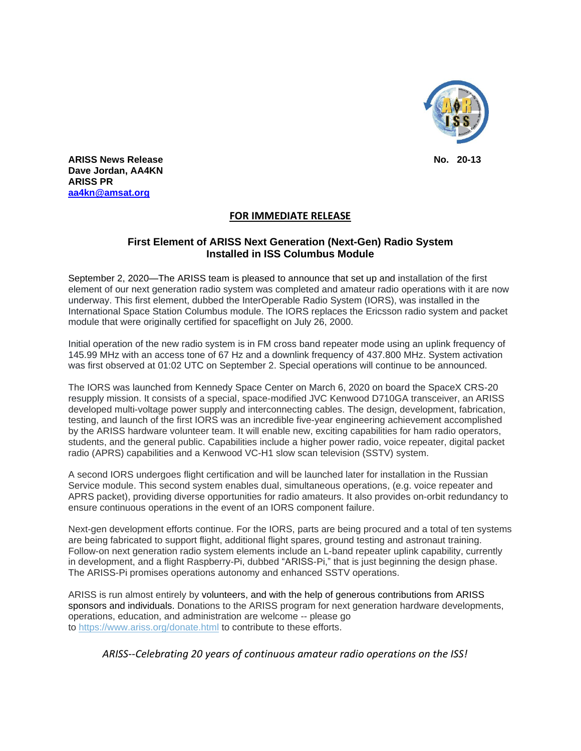

j **ARISS News Release No. 20-13 Dave Jordan, AA4KN ARISS PR [aa4kn@amsat.org](mailto:aa4kn@amsat.org)**

## **FOR IMMEDIATE RELEASE**

## **First Element of ARISS Next Generation (Next-Gen) Radio System Installed in ISS Columbus Module**

September 2, 2020—The ARISS team is pleased to announce that set up and installation of the first element of our next generation radio system was completed and amateur radio operations with it are now underway. This first element, dubbed the InterOperable Radio System (IORS), was installed in the International Space Station Columbus module. The IORS replaces the Ericsson radio system and packet module that were originally certified for spaceflight on July 26, 2000.

Initial operation of the new radio system is in FM cross band repeater mode using an uplink frequency of 145.99 MHz with an access tone of 67 Hz and a downlink frequency of 437.800 MHz. System activation was first observed at 01:02 UTC on September 2. Special operations will continue to be announced.

The IORS was launched from Kennedy Space Center on March 6, 2020 on board the SpaceX CRS-20 resupply mission. It consists of a special, space-modified JVC Kenwood D710GA transceiver, an ARISS developed multi-voltage power supply and interconnecting cables. The design, development, fabrication, testing, and launch of the first IORS was an incredible five-year engineering achievement accomplished by the ARISS hardware volunteer team. It will enable new, exciting capabilities for ham radio operators, students, and the general public. Capabilities include a higher power radio, voice repeater, digital packet radio (APRS) capabilities and a Kenwood VC-H1 slow scan television (SSTV) system.

A second IORS undergoes flight certification and will be launched later for installation in the Russian Service module. This second system enables dual, simultaneous operations, (e.g. voice repeater and APRS packet), providing diverse opportunities for radio amateurs. It also provides on-orbit redundancy to ensure continuous operations in the event of an IORS component failure.

Next-gen development efforts continue. For the IORS, parts are being procured and a total of ten systems are being fabricated to support flight, additional flight spares, ground testing and astronaut training. Follow-on next generation radio system elements include an L-band repeater uplink capability, currently in development, and a flight Raspberry-Pi, dubbed "ARISS-Pi," that is just beginning the design phase. The ARISS-Pi promises operations autonomy and enhanced SSTV operations.

ARISS is run almost entirely by volunteers, and with the help of generous contributions from ARISS sponsors and individuals. Donations to the ARISS program for next generation hardware developments, operations, education, and administration are welcome -- please go to <https://www.ariss.org/donate.html> to contribute to these efforts.

*ARISS--Celebrating 20 years of continuous amateur radio operations on the ISS!*